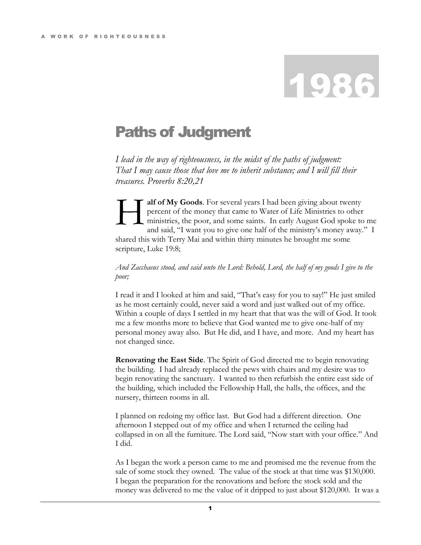## 1986

## Paths of Judgment

*I lead in the way of righteousness, in the midst of the paths of judgment: That I may cause those that love me to inherit substance; and I will fill their treasures. Proverbs 8:20,21*

**alf of My Goods**. For several years I had been giving about twenty percent of the money that came to Water of Life Ministries to other ministries, the poor, and some saints. In early August God spoke to me and said, "I want you to give one half of the ministry's money away." I shared this with Terry Mai and within thirty minutes he brought me some scripture, Luke 19:8; H

*And Zacchaeus stood, and said unto the Lord: Behold, Lord, the half of my goods I give to the poor;*

I read it and I looked at him and said, "That's easy for you to say!" He just smiled as he most certainly could, never said a word and just walked out of my office. Within a couple of days I settled in my heart that that was the will of God. It took me a few months more to believe that God wanted me to give one-half of my personal money away also. But He did, and I have, and more. And my heart has not changed since.

**Renovating the East Side**. The Spirit of God directed me to begin renovating the building. I had already replaced the pews with chairs and my desire was to begin renovating the sanctuary. I wanted to then refurbish the entire east side of the building, which included the Fellowship Hall, the halls, the offices, and the nursery, thirteen rooms in all.

I planned on redoing my office last. But God had a different direction. One afternoon I stepped out of my office and when I returned the ceiling had collapsed in on all the furniture. The Lord said, "Now start with your office." And I did.

As I began the work a person came to me and promised me the revenue from the sale of some stock they owned. The value of the stock at that time was \$130,000. I began the preparation for the renovations and before the stock sold and the money was delivered to me the value of it dripped to just about \$120,000. It was a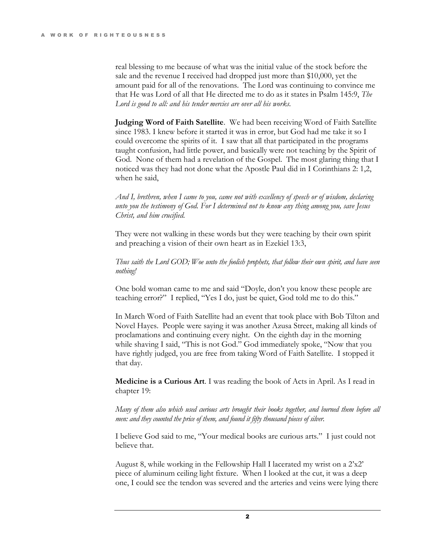real blessing to me because of what was the initial value of the stock before the sale and the revenue I received had dropped just more than \$10,000, yet the amount paid for all of the renovations. The Lord was continuing to convince me that He was Lord of all that He directed me to do as it states in Psalm 145:9, *The Lord is good to all: and his tender mercies are over all his works.* 

**Judging Word of Faith Satellite**. We had been receiving Word of Faith Satellite since 1983. I knew before it started it was in error, but God had me take it so I could overcome the spirits of it. I saw that all that participated in the programs taught confusion, had little power, and basically were not teaching by the Spirit of God. None of them had a revelation of the Gospel. The most glaring thing that I noticed was they had not done what the Apostle Paul did in I Corinthians 2: 1,2, when he said,

*And I, brethren, when I came to you, came not with excellency of speech or of wisdom, declaring unto you the testimony of God. For I determined not to know any thing among you, save Jesus Christ, and him crucified.*

They were not walking in these words but they were teaching by their own spirit and preaching a vision of their own heart as in Ezekiel 13:3,

*Thus saith the Lord GOD; Woe unto the foolish prophets, that follow their own spirit, and have seen nothing!*

One bold woman came to me and said "Doyle, don't you know these people are teaching error?" I replied, "Yes I do, just be quiet, God told me to do this."

In March Word of Faith Satellite had an event that took place with Bob Tilton and Novel Hayes. People were saying it was another Azusa Street, making all kinds of proclamations and continuing every night. On the eighth day in the morning while shaving I said, "This is not God." God immediately spoke, "Now that you have rightly judged, you are free from taking Word of Faith Satellite. I stopped it that day.

**Medicine is a Curious Art**. I was reading the book of Acts in April. As I read in chapter 19:

*Many of them also which used curious arts brought their books together, and burned them before all men: and they counted the price of them, and found it fifty thousand pieces of silver.* 

I believe God said to me, "Your medical books are curious arts." I just could not believe that.

August 8, while working in the Fellowship Hall I lacerated my wrist on a 2'x2' piece of aluminum ceiling light fixture. When I looked at the cut, it was a deep one, I could see the tendon was severed and the arteries and veins were lying there